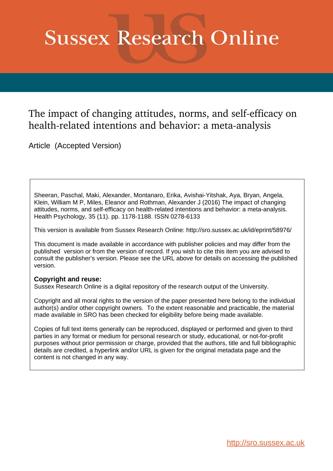# **Sussex Research Online**

# The impact of changing attitudes, norms, and self-efficacy on health-related intentions and behavior: a meta-analysis

Article (Accepted Version)

Sheeran, Paschal, Maki, Alexander, Montanaro, Erika, Avishai-Yitshak, Aya, Bryan, Angela, Klein, William M P, Miles, Eleanor and Rothman, Alexander J (2016) The impact of changing attitudes, norms, and self-efficacy on health-related intentions and behavior: a meta-analysis. Health Psychology, 35 (11). pp. 1178-1188. ISSN 0278-6133

This version is available from Sussex Research Online: http://sro.sussex.ac.uk/id/eprint/58976/

This document is made available in accordance with publisher policies and may differ from the published version or from the version of record. If you wish to cite this item you are advised to consult the publisher's version. Please see the URL above for details on accessing the published version.

### **Copyright and reuse:**

Sussex Research Online is a digital repository of the research output of the University.

Copyright and all moral rights to the version of the paper presented here belong to the individual author(s) and/or other copyright owners. To the extent reasonable and practicable, the material made available in SRO has been checked for eligibility before being made available.

Copies of full text items generally can be reproduced, displayed or performed and given to third parties in any format or medium for personal research or study, educational, or not-for-profit purposes without prior permission or charge, provided that the authors, title and full bibliographic details are credited, a hyperlink and/or URL is given for the original metadata page and the content is not changed in any way.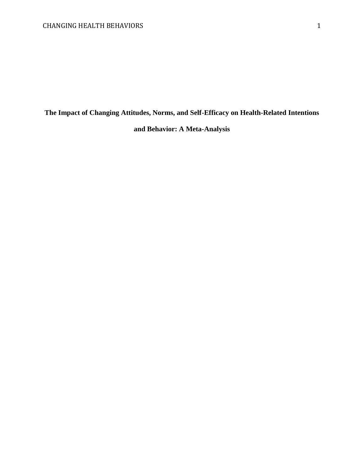## **The Impact of Changing Attitudes, Norms, and Self-Efficacy on Health-Related Intentions**

## **and Behavior: A Meta-Analysis**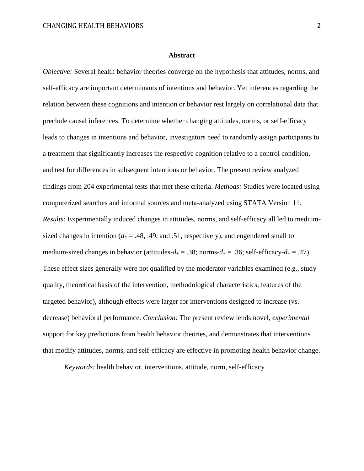#### **Abstract**

*Objective:* Several health behavior theories converge on the hypothesis that attitudes, norms, and self-efficacy are important determinants of intentions and behavior. Yet inferences regarding the relation between these cognitions and intention or behavior rest largely on correlational data that preclude causal inferences. To determine whether changing attitudes, norms, or self-efficacy leads to changes in intentions and behavior, investigators need to randomly assign participants to a treatment that significantly increases the respective cognition relative to a control condition, and test for differences in subsequent intentions or behavior. The present review analyzed findings from 204 experimental tests that met these criteria. *Methods:* Studies were located using computerized searches and informal sources and meta-analyzed using STATA Version 11. *Results:* Experimentally induced changes in attitudes, norms, and self-efficacy all led to mediumsized changes in intention ( $d_+ = .48, .49,$  and .51, respectively), and engendered small to medium-sized changes in behavior (attitudes- $d_+ = .38$ ; norms- $d_+ = .36$ ; self-efficacy- $d_+ = .47$ ). These effect sizes generally were not qualified by the moderator variables examined (e.g., study quality, theoretical basis of the intervention, methodological characteristics, features of the targeted behavior), although effects were larger for interventions designed to increase (vs. decrease) behavioral performance. *Conclusion:* The present review lends novel, *experimental*  support for key predictions from health behavior theories, and demonstrates that interventions that modify attitudes, norms, and self-efficacy are effective in promoting health behavior change.

*Keywords:* health behavior, interventions, attitude, norm, self-efficacy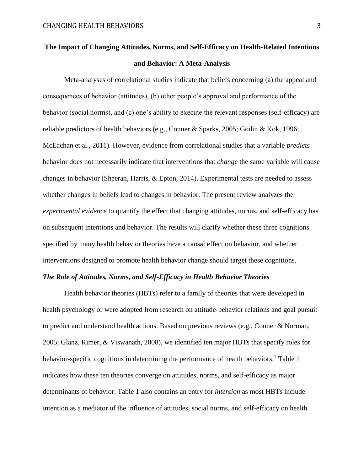# **The Impact of Changing Attitudes, Norms, and Self-Efficacy on Health-Related Intentions and Behavior: A Meta-Analysis**

Meta-analyses of correlational studies indicate that beliefs concerning (a) the appeal and consequences of behavior (attitudes), (b) other people's approval and performance of the behavior (social norms), and (c) one's ability to execute the relevant responses (self-efficacy) are reliable predictors of health behaviors (e.g., Conner & Sparks, 2005; Godin & Kok, 1996; McEachan et al., 2011). However, evidence from correlational studies that a variable *predicts* behavior does not necessarily indicate that interventions that *change* the same variable will cause changes in behavior (Sheeran, Harris, & Epton, 2014). Experimental tests are needed to assess whether changes in beliefs lead to changes in behavior. The present review analyzes the *experimental evidence* to quantify the effect that changing attitudes, norms, and self-efficacy has on subsequent intentions and behavior. The results will clarify whether these three cognitions specified by many health behavior theories have a causal effect on behavior, and whether interventions designed to promote health behavior change should target these cognitions.

### *The Role of Attitudes, Norms, and Self-Efficacy in Health Behavior Theories*

Health behavior theories (HBTs) refer to a family of theories that were developed in health psychology or were adopted from research on attitude-behavior relations and goal pursuit to predict and understand health actions. Based on previous reviews (e.g., Conner & Norman, 2005; Glanz, Rimer, & Viswanath, 2008), we identified ten major HBTs that specify roles for behavior-specific cognitions in determining the performance of health behaviors.<sup>1</sup> Table 1 indicates how these ten theories converge on attitudes, norms, and self-efficacy as major determinants of behavior. Table 1 also contains an entry for *intention* as most HBTs include intention as a mediator of the influence of attitudes, social norms, and self-efficacy on health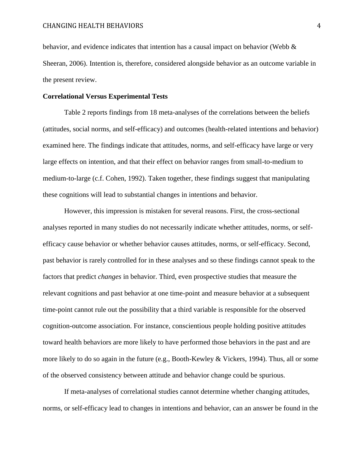behavior, and evidence indicates that intention has a causal impact on behavior (Webb  $\&$ Sheeran, 2006). Intention is, therefore, considered alongside behavior as an outcome variable in the present review.

### **Correlational Versus Experimental Tests**

Table 2 reports findings from 18 meta-analyses of the correlations between the beliefs (attitudes, social norms, and self-efficacy) and outcomes (health-related intentions and behavior) examined here. The findings indicate that attitudes, norms, and self-efficacy have large or very large effects on intention, and that their effect on behavior ranges from small-to-medium to medium-to-large (c.f. Cohen, 1992). Taken together, these findings suggest that manipulating these cognitions will lead to substantial changes in intentions and behavior.

However, this impression is mistaken for several reasons. First, the cross-sectional analyses reported in many studies do not necessarily indicate whether attitudes, norms, or selfefficacy cause behavior or whether behavior causes attitudes, norms, or self-efficacy. Second, past behavior is rarely controlled for in these analyses and so these findings cannot speak to the factors that predict *changes* in behavior. Third, even prospective studies that measure the relevant cognitions and past behavior at one time-point and measure behavior at a subsequent time-point cannot rule out the possibility that a third variable is responsible for the observed cognition-outcome association. For instance, conscientious people holding positive attitudes toward health behaviors are more likely to have performed those behaviors in the past and are more likely to do so again in the future (e.g., Booth-Kewley & Vickers, 1994). Thus, all or some of the observed consistency between attitude and behavior change could be spurious.

If meta-analyses of correlational studies cannot determine whether changing attitudes, norms, or self-efficacy lead to changes in intentions and behavior, can an answer be found in the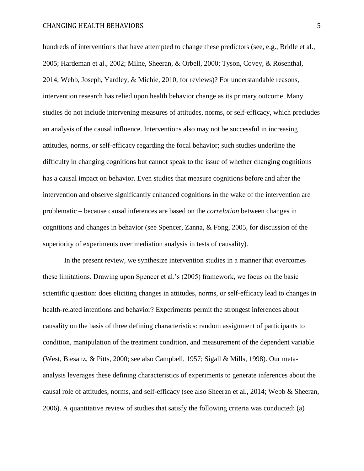hundreds of interventions that have attempted to change these predictors (see, e.g., Bridle et al., 2005; Hardeman et al., 2002; Milne, Sheeran, & Orbell, 2000; Tyson, Covey, & Rosenthal, 2014; Webb, Joseph, Yardley, & Michie, 2010, for reviews)? For understandable reasons, intervention research has relied upon health behavior change as its primary outcome. Many studies do not include intervening measures of attitudes, norms, or self-efficacy, which precludes an analysis of the causal influence. Interventions also may not be successful in increasing attitudes, norms, or self-efficacy regarding the focal behavior; such studies underline the difficulty in changing cognitions but cannot speak to the issue of whether changing cognitions has a causal impact on behavior. Even studies that measure cognitions before and after the intervention and observe significantly enhanced cognitions in the wake of the intervention are problematic – because causal inferences are based on the *correlation* between changes in cognitions and changes in behavior (see Spencer, Zanna, & Fong, 2005, for discussion of the superiority of experiments over mediation analysis in tests of causality).

In the present review, we synthesize intervention studies in a manner that overcomes these limitations. Drawing upon Spencer et al.'s (2005) framework, we focus on the basic scientific question: does eliciting changes in attitudes, norms, or self-efficacy lead to changes in health-related intentions and behavior? Experiments permit the strongest inferences about causality on the basis of three defining characteristics: random assignment of participants to condition, manipulation of the treatment condition, and measurement of the dependent variable (West, Biesanz, & Pitts, 2000; see also Campbell, 1957; Sigall & Mills, 1998). Our metaanalysis leverages these defining characteristics of experiments to generate inferences about the causal role of attitudes, norms, and self-efficacy (see also Sheeran et al., 2014; Webb & Sheeran, 2006). A quantitative review of studies that satisfy the following criteria was conducted: (a)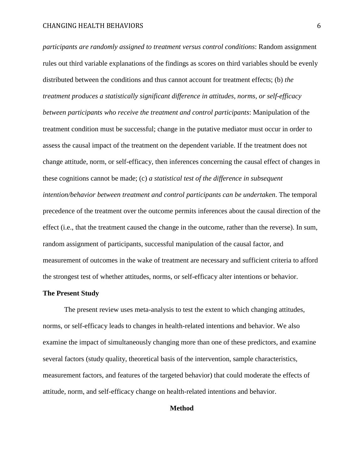*participants are randomly assigned to treatment versus control conditions*: Random assignment rules out third variable explanations of the findings as scores on third variables should be evenly distributed between the conditions and thus cannot account for treatment effects; (b) *the treatment produces a statistically significant difference in attitudes, norms, or self-efficacy between participants who receive the treatment and control participants*: Manipulation of the treatment condition must be successful; change in the putative mediator must occur in order to assess the causal impact of the treatment on the dependent variable. If the treatment does not change attitude, norm, or self-efficacy, then inferences concerning the causal effect of changes in these cognitions cannot be made; (c) *a statistical test of the difference in subsequent intention/behavior between treatment and control participants can be undertaken*. The temporal precedence of the treatment over the outcome permits inferences about the causal direction of the effect (i.e., that the treatment caused the change in the outcome, rather than the reverse). In sum, random assignment of participants, successful manipulation of the causal factor, and measurement of outcomes in the wake of treatment are necessary and sufficient criteria to afford the strongest test of whether attitudes, norms, or self-efficacy alter intentions or behavior.

### **The Present Study**

The present review uses meta-analysis to test the extent to which changing attitudes, norms, or self-efficacy leads to changes in health-related intentions and behavior. We also examine the impact of simultaneously changing more than one of these predictors, and examine several factors (study quality, theoretical basis of the intervention, sample characteristics, measurement factors, and features of the targeted behavior) that could moderate the effects of attitude, norm, and self-efficacy change on health-related intentions and behavior.

#### **Method**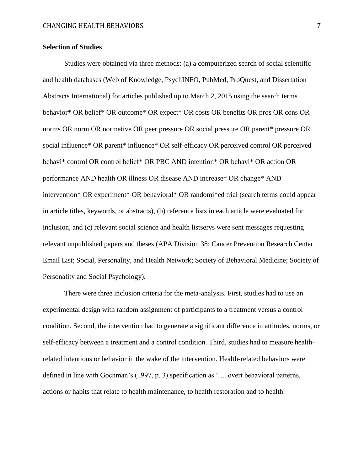### **Selection of Studies**

Studies were obtained via three methods: (a) a computerized search of social scientific and health databases (Web of Knowledge, PsychINFO, PubMed, ProQuest, and Dissertation Abstracts International) for articles published up to March 2, 2015 using the search terms behavior\* OR belief\* OR outcome\* OR expect\* OR costs OR benefits OR pros OR cons OR norms OR norm OR normative OR peer pressure OR social pressure OR parent\* pressure OR social influence\* OR parent\* influence\* OR self-efficacy OR perceived control OR perceived behavi\* control OR control belief\* OR PBC AND intention\* OR behavi\* OR action OR performance AND health OR illness OR disease AND increase\* OR change\* AND intervention\* OR experiment\* OR behavioral\* OR randomi\*ed trial (search terms could appear in article titles, keywords, or abstracts), (b) reference lists in each article were evaluated for inclusion, and (c) relevant social science and health listservs were sent messages requesting relevant unpublished papers and theses (APA Division 38; Cancer Prevention Research Center Email List; Social, Personality, and Health Network; Society of Behavioral Medicine; Society of Personality and Social Psychology).

There were three inclusion criteria for the meta-analysis. First, studies had to use an experimental design with random assignment of participants to a treatment versus a control condition. Second, the intervention had to generate a significant difference in attitudes, norms, or self-efficacy between a treatment and a control condition. Third, studies had to measure healthrelated intentions or behavior in the wake of the intervention. Health-related behaviors were defined in line with Gochman's (1997, p. 3) specification as " ... overt behavioral patterns, actions or habits that relate to health maintenance, to health restoration and to health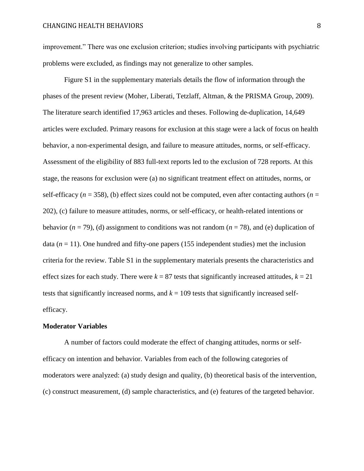improvement." There was one exclusion criterion; studies involving participants with psychiatric problems were excluded, as findings may not generalize to other samples.

Figure S1 in the supplementary materials details the flow of information through the phases of the present review (Moher, Liberati, Tetzlaff, Altman, & the PRISMA Group, 2009). The literature search identified 17,963 articles and theses. Following de-duplication, 14,649 articles were excluded. Primary reasons for exclusion at this stage were a lack of focus on health behavior, a non-experimental design, and failure to measure attitudes, norms, or self-efficacy. Assessment of the eligibility of 883 full-text reports led to the exclusion of 728 reports. At this stage, the reasons for exclusion were (a) no significant treatment effect on attitudes, norms, or self-efficacy ( $n = 358$ ), (b) effect sizes could not be computed, even after contacting authors ( $n =$ 202), (c) failure to measure attitudes, norms, or self-efficacy, or health-related intentions or behavior ( $n = 79$ ), (d) assignment to conditions was not random ( $n = 78$ ), and (e) duplication of data  $(n = 11)$ . One hundred and fifty-one papers (155 independent studies) met the inclusion criteria for the review. Table S1 in the supplementary materials presents the characteristics and effect sizes for each study. There were  $k = 87$  tests that significantly increased attitudes,  $k = 21$ tests that significantly increased norms, and  $k = 109$  tests that significantly increased selfefficacy.

### **Moderator Variables**

A number of factors could moderate the effect of changing attitudes, norms or selfefficacy on intention and behavior. Variables from each of the following categories of moderators were analyzed: (a) study design and quality, (b) theoretical basis of the intervention, (c) construct measurement, (d) sample characteristics, and (e) features of the targeted behavior.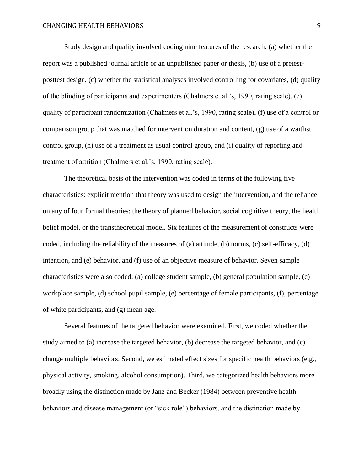Study design and quality involved coding nine features of the research: (a) whether the report was a published journal article or an unpublished paper or thesis, (b) use of a pretestposttest design, (c) whether the statistical analyses involved controlling for covariates, (d) quality of the blinding of participants and experimenters (Chalmers et al.'s, 1990, rating scale), (e) quality of participant randomization (Chalmers et al.'s, 1990, rating scale), (f) use of a control or comparison group that was matched for intervention duration and content, (g) use of a waitlist control group, (h) use of a treatment as usual control group, and (i) quality of reporting and treatment of attrition (Chalmers et al.'s, 1990, rating scale).

The theoretical basis of the intervention was coded in terms of the following five characteristics: explicit mention that theory was used to design the intervention, and the reliance on any of four formal theories: the theory of planned behavior, social cognitive theory, the health belief model, or the transtheoretical model. Six features of the measurement of constructs were coded, including the reliability of the measures of (a) attitude, (b) norms, (c) self-efficacy, (d) intention, and (e) behavior, and (f) use of an objective measure of behavior. Seven sample characteristics were also coded: (a) college student sample, (b) general population sample, (c) workplace sample, (d) school pupil sample, (e) percentage of female participants, (f), percentage of white participants, and (g) mean age.

Several features of the targeted behavior were examined. First, we coded whether the study aimed to (a) increase the targeted behavior, (b) decrease the targeted behavior, and (c) change multiple behaviors. Second, we estimated effect sizes for specific health behaviors (e.g., physical activity, smoking, alcohol consumption). Third, we categorized health behaviors more broadly using the distinction made by Janz and Becker (1984) between preventive health behaviors and disease management (or "sick role") behaviors, and the distinction made by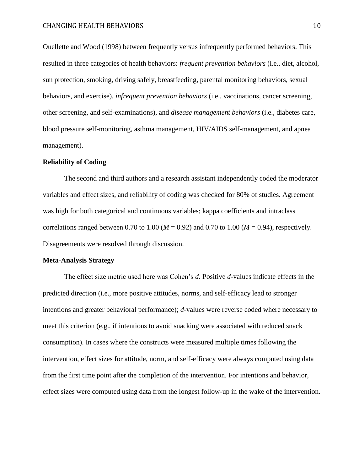Ouellette and Wood (1998) between frequently versus infrequently performed behaviors. This resulted in three categories of health behaviors: *frequent prevention behaviors* (i.e., diet, alcohol, sun protection, smoking, driving safely, breastfeeding, parental monitoring behaviors, sexual behaviors, and exercise), *infrequent prevention behaviors* (i.e., vaccinations, cancer screening, other screening, and self-examinations), and *disease management behaviors* (i.e., diabetes care, blood pressure self-monitoring, asthma management, HIV/AIDS self-management, and apnea management).

### **Reliability of Coding**

The second and third authors and a research assistant independently coded the moderator variables and effect sizes, and reliability of coding was checked for 80% of studies. Agreement was high for both categorical and continuous variables; kappa coefficients and intraclass correlations ranged between 0.70 to 1.00 ( $M = 0.92$ ) and 0.70 to 1.00 ( $M = 0.94$ ), respectively. Disagreements were resolved through discussion.

### **Meta-Analysis Strategy**

The effect size metric used here was Cohen's *d.* Positive *d*-values indicate effects in the predicted direction (i.e., more positive attitudes, norms, and self-efficacy lead to stronger intentions and greater behavioral performance); *d*-values were reverse coded where necessary to meet this criterion (e.g., if intentions to avoid snacking were associated with reduced snack consumption). In cases where the constructs were measured multiple times following the intervention, effect sizes for attitude, norm, and self-efficacy were always computed using data from the first time point after the completion of the intervention. For intentions and behavior, effect sizes were computed using data from the longest follow-up in the wake of the intervention.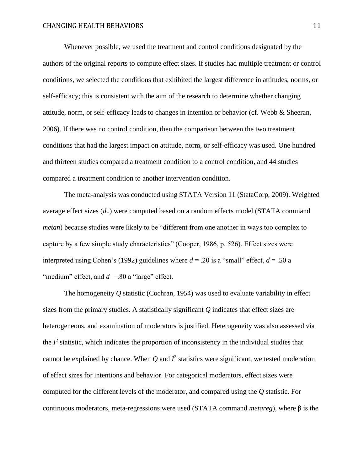Whenever possible, we used the treatment and control conditions designated by the authors of the original reports to compute effect sizes. If studies had multiple treatment or control conditions, we selected the conditions that exhibited the largest difference in attitudes, norms, or self-efficacy; this is consistent with the aim of the research to determine whether changing attitude, norm, or self-efficacy leads to changes in intention or behavior (cf. Webb & Sheeran, 2006). If there was no control condition, then the comparison between the two treatment conditions that had the largest impact on attitude, norm, or self-efficacy was used. One hundred and thirteen studies compared a treatment condition to a control condition, and 44 studies compared a treatment condition to another intervention condition.

The meta-analysis was conducted using STATA Version 11 (StataCorp, 2009). Weighted average effect sizes (*d+*) were computed based on a random effects model (STATA command *metan*) because studies were likely to be "different from one another in ways too complex to capture by a few simple study characteristics" (Cooper, 1986, p. 526). Effect sizes were interpreted using Cohen's (1992) guidelines where  $d = 0.20$  is a "small" effect,  $d = 0.50$  a "medium" effect, and  $d = 0.80$  a "large" effect.

The homogeneity *Q* statistic (Cochran, 1954) was used to evaluate variability in effect sizes from the primary studies. A statistically significant *Q* indicates that effect sizes are heterogeneous, and examination of moderators is justified. Heterogeneity was also assessed via the  $I^2$  statistic, which indicates the proportion of inconsistency in the individual studies that cannot be explained by chance. When  $Q$  and  $I^2$  statistics were significant, we tested moderation of effect sizes for intentions and behavior. For categorical moderators, effect sizes were computed for the different levels of the moderator, and compared using the *Q* statistic. For continuous moderators, meta-regressions were used (STATA command *metareg*), where β is the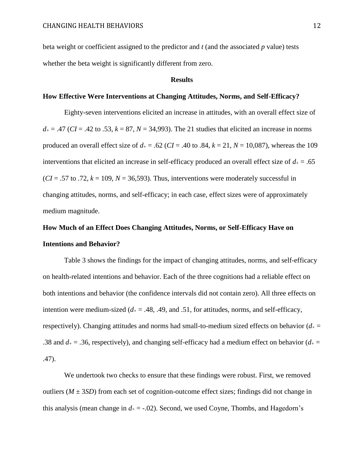beta weight or coefficient assigned to the predictor and *t* (and the associated *p* value) tests whether the beta weight is significantly different from zero.

### **Results**

### **How Effective Were Interventions at Changing Attitudes, Norms, and Self-Efficacy?**

Eighty-seven interventions elicited an increase in attitudes, with an overall effect size of  $d_{\pm} = .47$  (*CI* = .42 to .53,  $k = 87$ ,  $N = 34,993$ ). The 21 studies that elicited an increase in norms produced an overall effect size of  $d_{+} = .62$  (*CI* = .40 to .84,  $k = 21$ ,  $N = 10,087$ ), whereas the 109 interventions that elicited an increase in self-efficacy produced an overall effect size of  $d_{\pm} = .65$  $(CI = .57$  to .72,  $k = 109$ ,  $N = 36,593$ ). Thus, interventions were moderately successful in changing attitudes, norms, and self-efficacy; in each case, effect sizes were of approximately medium magnitude.

# **How Much of an Effect Does Changing Attitudes, Norms, or Self-Efficacy Have on Intentions and Behavior?**

Table 3 shows the findings for the impact of changing attitudes, norms, and self-efficacy on health-related intentions and behavior. Each of the three cognitions had a reliable effect on both intentions and behavior (the confidence intervals did not contain zero). All three effects on intention were medium-sized  $(d_{+} = .48, .49, \text{ and } .51, \text{ for attitudes, norms, and self-efficacy, }$ respectively). Changing attitudes and norms had small-to-medium sized effects on behavior  $(d_{+} =$ .38 and  $d_{\pm} = 0.36$ , respectively), and changing self-efficacy had a medium effect on behavior ( $d_{\pm} =$ .47).

We undertook two checks to ensure that these findings were robust. First, we removed outliers  $(M \pm 3SD)$  from each set of cognition-outcome effect sizes; findings did not change in this analysis (mean change in  $d_+ = -0.02$ ). Second, we used Coyne, Thombs, and Hagedorn's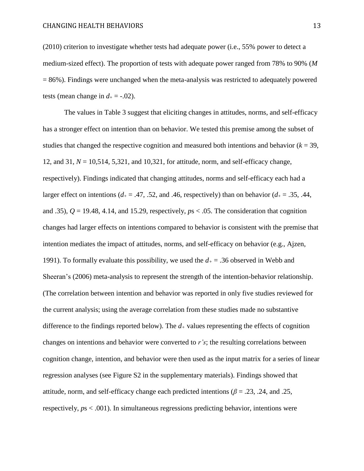(2010) criterion to investigate whether tests had adequate power (i.e., 55% power to detect a medium-sized effect). The proportion of tests with adequate power ranged from 78% to 90% (*M*  $= 86\%$ ). Findings were unchanged when the meta-analysis was restricted to adequately powered tests (mean change in  $d_{+} = -0.02$ ).

The values in Table 3 suggest that eliciting changes in attitudes, norms, and self-efficacy has a stronger effect on intention than on behavior. We tested this premise among the subset of studies that changed the respective cognition and measured both intentions and behavior  $(k = 39)$ , 12, and 31, *N* = 10,514, 5,321, and 10,321, for attitude, norm, and self-efficacy change, respectively). Findings indicated that changing attitudes, norms and self-efficacy each had a larger effect on intentions ( $d_+ = .47, .52,$  and .46, respectively) than on behavior ( $d_+ = .35, .44,$ and .35),  $Q = 19.48$ , 4.14, and 15.29, respectively,  $p_s < .05$ . The consideration that cognition changes had larger effects on intentions compared to behavior is consistent with the premise that intention mediates the impact of attitudes, norms, and self-efficacy on behavior (e.g., Ajzen, 1991). To formally evaluate this possibility, we used the *d<sup>+</sup>* = .36 observed in Webb and Sheeran's (2006) meta-analysis to represent the strength of the intention-behavior relationship. (The correlation between intention and behavior was reported in only five studies reviewed for the current analysis; using the average correlation from these studies made no substantive difference to the findings reported below). The  $d<sub>+</sub>$  values representing the effects of cognition changes on intentions and behavior were converted to *r's*; the resulting correlations between cognition change, intention, and behavior were then used as the input matrix for a series of linear regression analyses (see Figure S2 in the supplementary materials). Findings showed that attitude, norm, and self-efficacy change each predicted intentions ( $\beta$  = .23, .24, and .25, respectively, *p*s < .001). In simultaneous regressions predicting behavior, intentions were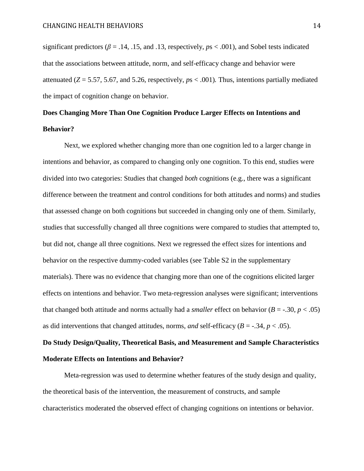significant predictors ( $\beta$  = .14, .15, and .13, respectively,  $p_s$  < .001), and Sobel tests indicated that the associations between attitude, norm, and self-efficacy change and behavior were attenuated ( $Z = 5.57$ , 5.67, and 5.26, respectively,  $ps < .001$ ). Thus, intentions partially mediated the impact of cognition change on behavior.

# **Does Changing More Than One Cognition Produce Larger Effects on Intentions and Behavior?**

Next, we explored whether changing more than one cognition led to a larger change in intentions and behavior, as compared to changing only one cognition. To this end, studies were divided into two categories: Studies that changed *both* cognitions (e.g., there was a significant difference between the treatment and control conditions for both attitudes and norms) and studies that assessed change on both cognitions but succeeded in changing only one of them. Similarly, studies that successfully changed all three cognitions were compared to studies that attempted to, but did not, change all three cognitions. Next we regressed the effect sizes for intentions and behavior on the respective dummy-coded variables (see Table S2 in the supplementary materials). There was no evidence that changing more than one of the cognitions elicited larger effects on intentions and behavior. Two meta-regression analyses were significant; interventions that changed both attitude and norms actually had a *smaller* effect on behavior  $(B = -.30, p < .05)$ as did interventions that changed attitudes, norms, *and* self-efficacy  $(B = -0.34, p < 0.05)$ .

# **Do Study Design/Quality, Theoretical Basis, and Measurement and Sample Characteristics Moderate Effects on Intentions and Behavior?**

Meta-regression was used to determine whether features of the study design and quality, the theoretical basis of the intervention, the measurement of constructs, and sample characteristics moderated the observed effect of changing cognitions on intentions or behavior.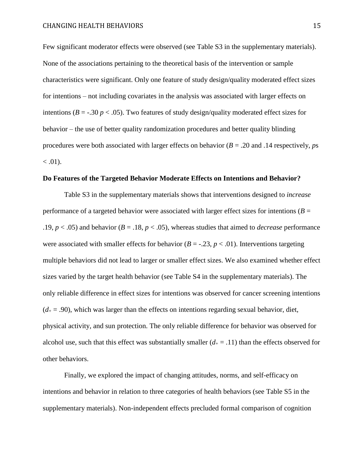Few significant moderator effects were observed (see Table S3 in the supplementary materials). None of the associations pertaining to the theoretical basis of the intervention or sample characteristics were significant. Only one feature of study design/quality moderated effect sizes for intentions – not including covariates in the analysis was associated with larger effects on intentions ( $B = -0.30 p < 0.05$ ). Two features of study design/quality moderated effect sizes for behavior – the use of better quality randomization procedures and better quality blinding procedures were both associated with larger effects on behavior (*B* = .20 and .14 respectively, *p*s  $< .01$ ).

### **Do Features of the Targeted Behavior Moderate Effects on Intentions and Behavior?**

Table S3 in the supplementary materials shows that interventions designed to *increase* performance of a targeted behavior were associated with larger effect sizes for intentions ( $B =$ .19,  $p < .05$ ) and behavior ( $B = .18$ ,  $p < .05$ ), whereas studies that aimed to *decrease* performance were associated with smaller effects for behavior ( $B = -0.23$ ,  $p < 0.01$ ). Interventions targeting multiple behaviors did not lead to larger or smaller effect sizes. We also examined whether effect sizes varied by the target health behavior (see Table S4 in the supplementary materials). The only reliable difference in effect sizes for intentions was observed for cancer screening intentions  $(d_{+} = .90)$ , which was larger than the effects on intentions regarding sexual behavior, diet, physical activity, and sun protection. The only reliable difference for behavior was observed for alcohol use, such that this effect was substantially smaller  $(d_{+} = .11)$  than the effects observed for other behaviors.

Finally, we explored the impact of changing attitudes, norms, and self-efficacy on intentions and behavior in relation to three categories of health behaviors (see Table S5 in the supplementary materials). Non-independent effects precluded formal comparison of cognition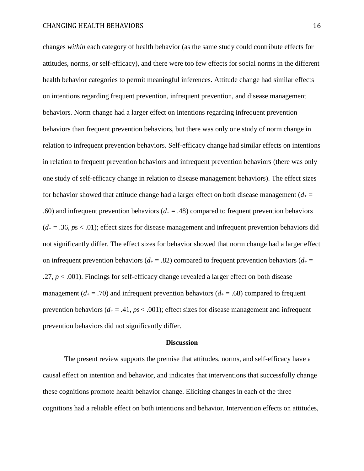changes *within* each category of health behavior (as the same study could contribute effects for attitudes, norms, or self-efficacy), and there were too few effects for social norms in the different health behavior categories to permit meaningful inferences. Attitude change had similar effects on intentions regarding frequent prevention, infrequent prevention, and disease management behaviors. Norm change had a larger effect on intentions regarding infrequent prevention behaviors than frequent prevention behaviors, but there was only one study of norm change in relation to infrequent prevention behaviors. Self-efficacy change had similar effects on intentions in relation to frequent prevention behaviors and infrequent prevention behaviors (there was only one study of self-efficacy change in relation to disease management behaviors). The effect sizes for behavior showed that attitude change had a larger effect on both disease management  $(d_{+} =$ .60) and infrequent prevention behaviors  $(d_{+} = .48)$  compared to frequent prevention behaviors  $(d_{\pm} = .36, \text{ps} < .01)$ ; effect sizes for disease management and infrequent prevention behaviors did not significantly differ. The effect sizes for behavior showed that norm change had a larger effect on infrequent prevention behaviors ( $d_{+} = .82$ ) compared to frequent prevention behaviors ( $d_{+} =$ .27, *p* < .001). Findings for self-efficacy change revealed a larger effect on both disease management ( $d_{+} = .70$ ) and infrequent prevention behaviors ( $d_{+} = .68$ ) compared to frequent prevention behaviors  $(d_{+} = .41, ps < .001)$ ; effect sizes for disease management and infrequent prevention behaviors did not significantly differ.

#### **Discussion**

The present review supports the premise that attitudes, norms, and self-efficacy have a causal effect on intention and behavior, and indicates that interventions that successfully change these cognitions promote health behavior change. Eliciting changes in each of the three cognitions had a reliable effect on both intentions and behavior. Intervention effects on attitudes,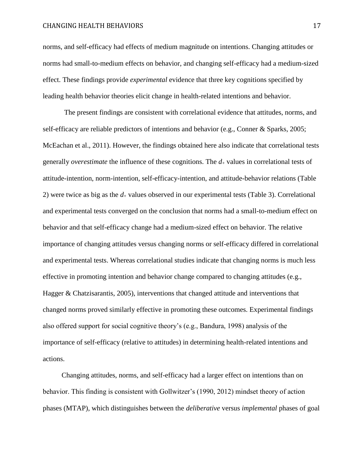norms, and self-efficacy had effects of medium magnitude on intentions. Changing attitudes or norms had small-to-medium effects on behavior, and changing self-efficacy had a medium-sized effect. These findings provide *experimental* evidence that three key cognitions specified by leading health behavior theories elicit change in health-related intentions and behavior.

The present findings are consistent with correlational evidence that attitudes, norms, and self-efficacy are reliable predictors of intentions and behavior (e.g., Conner & Sparks, 2005; McEachan et al., 2011). However, the findings obtained here also indicate that correlational tests generally *overestimate* the influence of these cognitions. The *d*<sup>+</sup> values in correlational tests of attitude-intention, norm-intention, self-efficacy-intention, and attitude-behavior relations (Table 2) were twice as big as the  $d_+$  values observed in our experimental tests (Table 3). Correlational and experimental tests converged on the conclusion that norms had a small-to-medium effect on behavior and that self-efficacy change had a medium-sized effect on behavior. The relative importance of changing attitudes versus changing norms or self-efficacy differed in correlational and experimental tests. Whereas correlational studies indicate that changing norms is much less effective in promoting intention and behavior change compared to changing attitudes (e.g., Hagger & Chatzisarantis, 2005), interventions that changed attitude and interventions that changed norms proved similarly effective in promoting these outcomes. Experimental findings also offered support for social cognitive theory's (e.g., Bandura, 1998) analysis of the importance of self-efficacy (relative to attitudes) in determining health-related intentions and actions.

Changing attitudes, norms, and self-efficacy had a larger effect on intentions than on behavior. This finding is consistent with Gollwitzer's (1990, 2012) mindset theory of action phases (MTAP), which distinguishes between the *deliberative* versus *implemental* phases of goal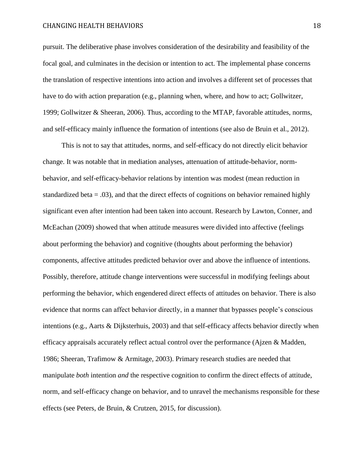pursuit. The deliberative phase involves consideration of the desirability and feasibility of the focal goal, and culminates in the decision or intention to act. The implemental phase concerns the translation of respective intentions into action and involves a different set of processes that have to do with action preparation (e.g., planning when, where, and how to act; Gollwitzer, 1999; Gollwitzer & Sheeran, 2006). Thus, according to the MTAP, favorable attitudes, norms, and self-efficacy mainly influence the formation of intentions (see also de Bruin et al., 2012).

This is not to say that attitudes, norms, and self-efficacy do not directly elicit behavior change. It was notable that in mediation analyses, attenuation of attitude-behavior, normbehavior, and self-efficacy-behavior relations by intention was modest (mean reduction in standardized beta  $= .03$ ), and that the direct effects of cognitions on behavior remained highly significant even after intention had been taken into account. Research by Lawton, Conner, and McEachan (2009) showed that when attitude measures were divided into affective (feelings about performing the behavior) and cognitive (thoughts about performing the behavior) components, affective attitudes predicted behavior over and above the influence of intentions. Possibly, therefore, attitude change interventions were successful in modifying feelings about performing the behavior, which engendered direct effects of attitudes on behavior. There is also evidence that norms can affect behavior directly, in a manner that bypasses people's conscious intentions (e.g., Aarts & Dijksterhuis, 2003) and that self-efficacy affects behavior directly when efficacy appraisals accurately reflect actual control over the performance (Ajzen & Madden, 1986; Sheeran, Trafimow & Armitage, 2003). Primary research studies are needed that manipulate *both* intention *and* the respective cognition to confirm the direct effects of attitude, norm, and self-efficacy change on behavior, and to unravel the mechanisms responsible for these effects (see Peters, de Bruin, & Crutzen, 2015, for discussion).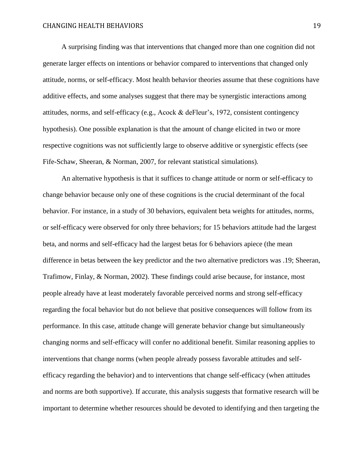A surprising finding was that interventions that changed more than one cognition did not generate larger effects on intentions or behavior compared to interventions that changed only attitude, norms, or self-efficacy. Most health behavior theories assume that these cognitions have additive effects, and some analyses suggest that there may be synergistic interactions among attitudes, norms, and self-efficacy (e.g., Acock & deFleur's, 1972, consistent contingency hypothesis). One possible explanation is that the amount of change elicited in two or more respective cognitions was not sufficiently large to observe additive or synergistic effects (see Fife-Schaw, Sheeran, & Norman, 2007, for relevant statistical simulations).

An alternative hypothesis is that it suffices to change attitude or norm or self-efficacy to change behavior because only one of these cognitions is the crucial determinant of the focal behavior. For instance, in a study of 30 behaviors, equivalent beta weights for attitudes, norms, or self-efficacy were observed for only three behaviors; for 15 behaviors attitude had the largest beta, and norms and self-efficacy had the largest betas for 6 behaviors apiece (the mean difference in betas between the key predictor and the two alternative predictors was .19; Sheeran, Trafimow, Finlay, & Norman, 2002). These findings could arise because, for instance, most people already have at least moderately favorable perceived norms and strong self-efficacy regarding the focal behavior but do not believe that positive consequences will follow from its performance. In this case, attitude change will generate behavior change but simultaneously changing norms and self-efficacy will confer no additional benefit. Similar reasoning applies to interventions that change norms (when people already possess favorable attitudes and selfefficacy regarding the behavior) and to interventions that change self-efficacy (when attitudes and norms are both supportive). If accurate, this analysis suggests that formative research will be important to determine whether resources should be devoted to identifying and then targeting the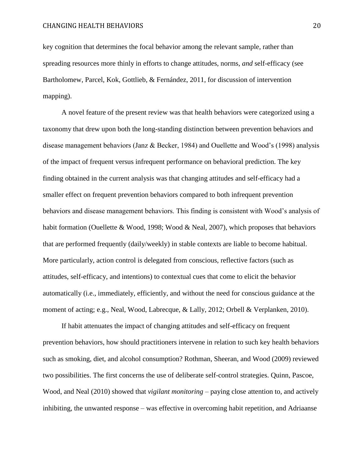key cognition that determines the focal behavior among the relevant sample, rather than spreading resources more thinly in efforts to change attitudes, norms, *and* self-efficacy (see Bartholomew, Parcel, Kok, Gottlieb, & Fernández, 2011, for discussion of intervention mapping).

A novel feature of the present review was that health behaviors were categorized using a taxonomy that drew upon both the long-standing distinction between prevention behaviors and disease management behaviors (Janz & Becker, 1984) and Ouellette and Wood's (1998) analysis of the impact of frequent versus infrequent performance on behavioral prediction. The key finding obtained in the current analysis was that changing attitudes and self-efficacy had a smaller effect on frequent prevention behaviors compared to both infrequent prevention behaviors and disease management behaviors. This finding is consistent with Wood's analysis of habit formation (Ouellette & Wood, 1998; Wood & Neal, 2007), which proposes that behaviors that are performed frequently (daily/weekly) in stable contexts are liable to become habitual. More particularly, action control is delegated from conscious, reflective factors (such as attitudes, self-efficacy, and intentions) to contextual cues that come to elicit the behavior automatically (i.e., immediately, efficiently, and without the need for conscious guidance at the moment of acting; e.g., Neal, Wood, Labrecque, & Lally, 2012; Orbell & Verplanken, 2010).

If habit attenuates the impact of changing attitudes and self-efficacy on frequent prevention behaviors, how should practitioners intervene in relation to such key health behaviors such as smoking, diet, and alcohol consumption? Rothman, Sheeran, and Wood (2009) reviewed two possibilities. The first concerns the use of deliberate self-control strategies. Quinn, Pascoe, Wood, and Neal (2010) showed that *vigilant monitoring* – paying close attention to, and actively inhibiting, the unwanted response – was effective in overcoming habit repetition, and Adriaanse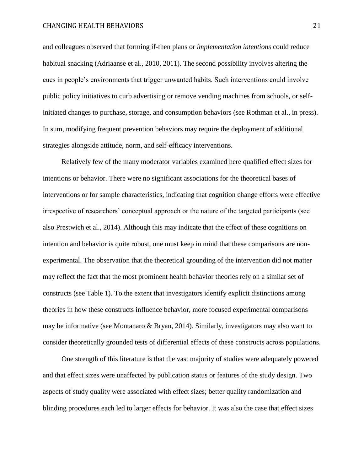and colleagues observed that forming if-then plans or *implementation intentions* could reduce habitual snacking (Adriaanse et al., 2010, 2011). The second possibility involves altering the cues in people's environments that trigger unwanted habits. Such interventions could involve public policy initiatives to curb advertising or remove vending machines from schools, or selfinitiated changes to purchase, storage, and consumption behaviors (see Rothman et al., in press). In sum, modifying frequent prevention behaviors may require the deployment of additional strategies alongside attitude, norm, and self-efficacy interventions.

Relatively few of the many moderator variables examined here qualified effect sizes for intentions or behavior. There were no significant associations for the theoretical bases of interventions or for sample characteristics, indicating that cognition change efforts were effective irrespective of researchers' conceptual approach or the nature of the targeted participants (see also Prestwich et al., 2014). Although this may indicate that the effect of these cognitions on intention and behavior is quite robust, one must keep in mind that these comparisons are nonexperimental. The observation that the theoretical grounding of the intervention did not matter may reflect the fact that the most prominent health behavior theories rely on a similar set of constructs (see Table 1). To the extent that investigators identify explicit distinctions among theories in how these constructs influence behavior, more focused experimental comparisons may be informative (see Montanaro & Bryan, 2014). Similarly, investigators may also want to consider theoretically grounded tests of differential effects of these constructs across populations.

One strength of this literature is that the vast majority of studies were adequately powered and that effect sizes were unaffected by publication status or features of the study design. Two aspects of study quality were associated with effect sizes; better quality randomization and blinding procedures each led to larger effects for behavior. It was also the case that effect sizes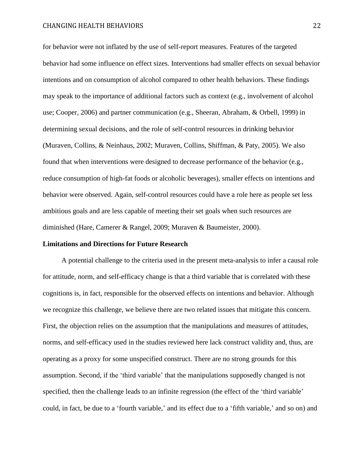for behavior were not inflated by the use of self-report measures. Features of the targeted behavior had some influence on effect sizes. Interventions had smaller effects on sexual behavior intentions and on consumption of alcohol compared to other health behaviors. These findings may speak to the importance of additional factors such as context (e.g., involvement of alcohol use; Cooper, 2006) and partner communication (e.g., Sheeran, Abraham, & Orbell, 1999) in determining sexual decisions, and the role of self-control resources in drinking behavior (Muraven, Collins, & Neinhaus, 2002; Muraven, Collins, Shiffman, & Paty, 2005). We also found that when interventions were designed to decrease performance of the behavior (e.g., reduce consumption of high-fat foods or alcoholic beverages), smaller effects on intentions and behavior were observed. Again, self-control resources could have a role here as people set less ambitious goals and are less capable of meeting their set goals when such resources are diminished (Hare, Camerer & Rangel, 2009; Muraven & Baumeister, 2000).

#### **Limitations and Directions for Future Research**

A potential challenge to the criteria used in the present meta-analysis to infer a causal role for attitude, norm, and self-efficacy change is that a third variable that is correlated with these cognitions is, in fact, responsible for the observed effects on intentions and behavior. Although we recognize this challenge, we believe there are two related issues that mitigate this concern. First, the objection relies on the assumption that the manipulations and measures of attitudes, norms, and self-efficacy used in the studies reviewed here lack construct validity and, thus, are operating as a proxy for some unspecified construct. There are no strong grounds for this assumption. Second, if the 'third variable' that the manipulations supposedly changed is not specified, then the challenge leads to an infinite regression (the effect of the 'third variable' could, in fact, be due to a 'fourth variable,' and its effect due to a 'fifth variable,' and so on) and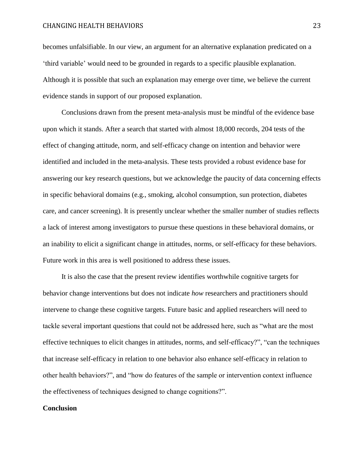becomes unfalsifiable. In our view, an argument for an alternative explanation predicated on a 'third variable' would need to be grounded in regards to a specific plausible explanation. Although it is possible that such an explanation may emerge over time, we believe the current evidence stands in support of our proposed explanation.

Conclusions drawn from the present meta-analysis must be mindful of the evidence base upon which it stands. After a search that started with almost 18,000 records, 204 tests of the effect of changing attitude, norm, and self-efficacy change on intention and behavior were identified and included in the meta-analysis. These tests provided a robust evidence base for answering our key research questions, but we acknowledge the paucity of data concerning effects in specific behavioral domains (e.g., smoking, alcohol consumption, sun protection, diabetes care, and cancer screening). It is presently unclear whether the smaller number of studies reflects a lack of interest among investigators to pursue these questions in these behavioral domains, or an inability to elicit a significant change in attitudes, norms, or self-efficacy for these behaviors. Future work in this area is well positioned to address these issues.

It is also the case that the present review identifies worthwhile cognitive targets for behavior change interventions but does not indicate *how* researchers and practitioners should intervene to change these cognitive targets. Future basic and applied researchers will need to tackle several important questions that could not be addressed here, such as "what are the most effective techniques to elicit changes in attitudes, norms, and self-efficacy?", "can the techniques that increase self-efficacy in relation to one behavior also enhance self-efficacy in relation to other health behaviors?", and "how do features of the sample or intervention context influence the effectiveness of techniques designed to change cognitions?".

### **Conclusion**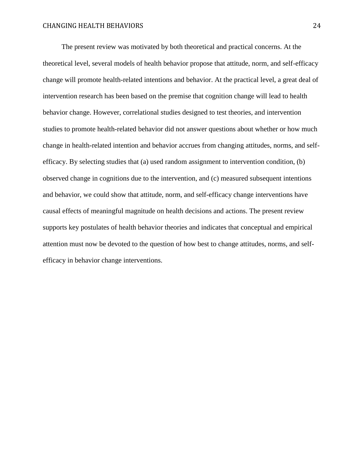The present review was motivated by both theoretical and practical concerns. At the theoretical level, several models of health behavior propose that attitude, norm, and self-efficacy change will promote health-related intentions and behavior. At the practical level, a great deal of intervention research has been based on the premise that cognition change will lead to health behavior change. However, correlational studies designed to test theories, and intervention studies to promote health-related behavior did not answer questions about whether or how much change in health-related intention and behavior accrues from changing attitudes, norms, and selfefficacy. By selecting studies that (a) used random assignment to intervention condition, (b) observed change in cognitions due to the intervention, and (c) measured subsequent intentions and behavior, we could show that attitude, norm, and self-efficacy change interventions have causal effects of meaningful magnitude on health decisions and actions. The present review supports key postulates of health behavior theories and indicates that conceptual and empirical attention must now be devoted to the question of how best to change attitudes, norms, and selfefficacy in behavior change interventions.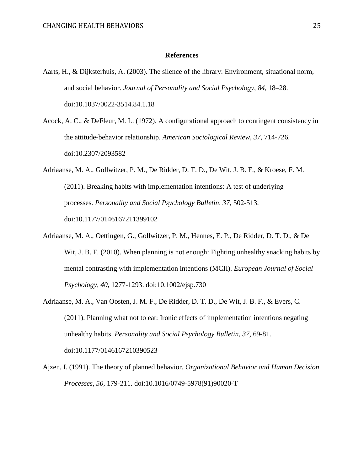#### **References**

- Aarts, H., & Dijksterhuis, A. (2003). The silence of the library: Environment, situational norm, and social behavior. *Journal of Personality and Social Psychology*, *84*, 18–28. doi:10.1037/0022-3514.84.1.18
- Acock, A. C., & DeFleur, M. L. (1972). A configurational approach to contingent consistency in the attitude-behavior relationship. *American Sociological Review*, *37*, 714-726. doi:10.2307/2093582
- Adriaanse, M. A., Gollwitzer, P. M., De Ridder, D. T. D., De Wit, J. B. F., & Kroese, F. M. (2011). Breaking habits with implementation intentions: A test of underlying processes. *Personality and Social Psychology Bulletin, 37,* 502-513. doi:10.1177/0146167211399102
- Adriaanse, M. A., Oettingen, G., Gollwitzer, P. M., Hennes, E. P., De Ridder, D. T. D., & De Wit, J. B. F. (2010). When planning is not enough: Fighting unhealthy snacking habits by mental contrasting with implementation intentions (MCII). *European Journal of Social Psychology, 40,* 1277-1293. doi:10.1002/ejsp.730
- Adriaanse, M. A., Van Oosten, J. M. F., De Ridder, D. T. D., De Wit, J. B. F., & Evers, C. (2011). Planning what not to eat: Ironic effects of implementation intentions negating unhealthy habits. *Personality and Social Psychology Bulletin, 37,* 69-81*.* doi:10.1177/0146167210390523
- Ajzen, I. (1991). The theory of planned behavior. *Organizational Behavior and Human Decision Processes, 50,* 179-211. doi:10.1016/0749-5978(91)90020-T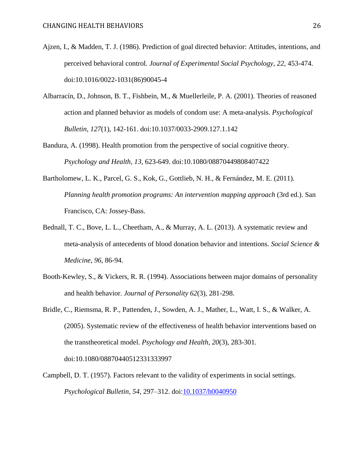- Ajzen, I., & Madden, T. J. (1986). Prediction of goal directed behavior: Attitudes, intentions, and perceived behavioral control. *Journal of Experimental Social Psychology*, *22*, 453-474. doi:10.1016/0022-1031(86)90045-4
- Albarracín, D., Johnson, B. T., Fishbein, M., & Muellerleile, P. A. (2001). Theories of reasoned action and planned behavior as models of condom use: A meta-analysis. *Psychological Bulletin*, *127*(1), 142-161. doi:10.1037/0033-2909.127.1.142
- Bandura, A. (1998). Health promotion from the perspective of social cognitive theory. *Psychology and Health, 13,* 623-649. doi:10.1080/08870449808407422
- Bartholomew, L. K., Parcel, G. S., Kok, G., Gottlieb, N. H., & Fernández, M. E. (2011). *Planning health promotion programs: An intervention mapping approach* (3rd ed.). San Francisco, CA: Jossey-Bass.
- Bednall, T. C., Bove, L. L., Cheetham, A., & Murray, A. L. (2013). A systematic review and meta-analysis of antecedents of blood donation behavior and intentions. *Social Science & Medicine*, *96*, 86-94.
- Booth-Kewley, S., & Vickers, R. R. (1994). Associations between major domains of personality and health behavior. *Journal of Personality 62*(3), 281-298.
- Bridle, C., Riemsma, R. P., Pattenden, J., Sowden, A. J., Mather, L., Watt, I. S., & Walker, A. (2005). Systematic review of the effectiveness of health behavior interventions based on the transtheoretical model. *Psychology and Health*, *20*(3), 283-301. doi:10.1080/08870440512331333997
- Campbell, D. T. (1957). Factors relevant to the validity of experiments in social settings. *Psychological Bulletin, 54*, 297–312. doi:10.1037/h0040950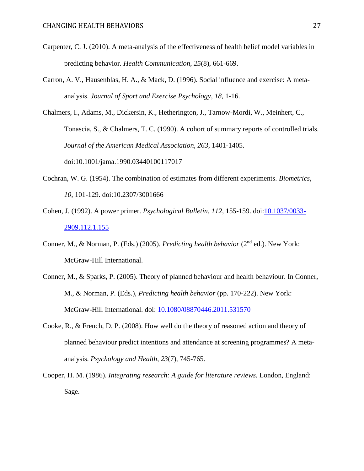- Carpenter, C. J. (2010). A meta-analysis of the effectiveness of health belief model variables in predicting behavior. *Health Communication*, *25*(8), 661-669.
- Carron, A. V., Hausenblas, H. A., & Mack, D. (1996). Social influence and exercise: A metaanalysis. *Journal of Sport and Exercise Psychology*, *18*, 1-16.

Chalmers, I., Adams, M., Dickersin, K., Hetherington, J., Tarnow-Mordi, W., Meinhert, C., Tonascia, S., & Chalmers, T. C. (1990). A cohort of summary reports of controlled trials. *Journal of the American Medical Association, 263*, 1401-1405. doi:10.1001/jama.1990.03440100117017

- Cochran, W. G. (1954). The combination of estimates from different experiments. *Biometrics, 10*, 101-129. doi:10.2307/3001666
- Cohen, J. (1992). A power primer. *Psychological Bulletin, 112*, 155-159. doi:10.1037/0033- 2909.112.1.155
- Conner, M., & Norman, P. (Eds.) (2005). *Predicting health behavior* (2<sup>nd</sup> ed.). New York: McGraw-Hill International.
- Conner, M., & Sparks, P. (2005). Theory of planned behaviour and health behaviour. In Conner, M., & Norman, P. (Eds.), *Predicting health behavior* (pp. 170-222). New York: McGraw-Hill International. doi: 10.1080/08870446.2011.531570
- Cooke, R., & French, D. P. (2008). How well do the theory of reasoned action and theory of planned behaviour predict intentions and attendance at screening programmes? A metaanalysis. *Psychology and Health*, *23*(7), 745-765.
- Cooper, H. M. (1986). *Integrating research: A guide for literature reviews.* London, England: Sage.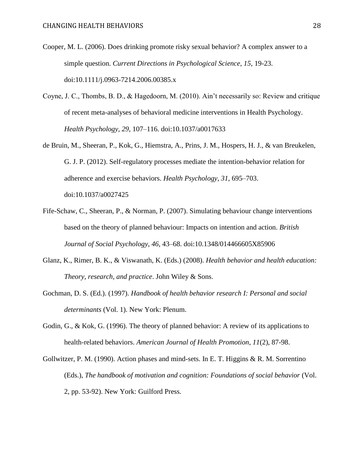- Cooper, M. L. (2006). Does drinking promote risky sexual behavior? A complex answer to a simple question. *Current Directions in Psychological Science, 15*, 19-23. doi:10.1111/j.0963-7214.2006.00385.x
- Coyne, J. C., Thombs, B. D., & Hagedoorn, M. (2010). Ain't necessarily so: Review and critique of recent meta-analyses of behavioral medicine interventions in Health Psychology. *Health Psychology, 29*, 107–116. doi:10.1037/a0017633
- de Bruin, M., Sheeran, P., Kok, G., Hiemstra, A., Prins, J. M., Hospers, H. J., & van Breukelen, G. J. P. (2012). Self-regulatory processes mediate the intention-behavior relation for adherence and exercise behaviors. *Health Psychology*, *31*, 695–703. doi:10.1037/a0027425
- Fife-Schaw, C., Sheeran, P., & Norman, P. (2007). Simulating behaviour change interventions based on the theory of planned behaviour: Impacts on intention and action. *British Journal of Social Psychology*, *46*, 43–68. doi:10.1348/014466605X85906
- Glanz, K., Rimer, B. K., & Viswanath, K. (Eds.) (2008). *Health behavior and health education: Theory, research, and practice*. John Wiley & Sons.
- Gochman, D. S. (Ed.). (1997). *Handbook of health behavior research I: Personal and social determinants* (Vol. 1). New York: Plenum.
- Godin, G., & Kok, G. (1996). The theory of planned behavior: A review of its applications to health-related behaviors. *American Journal of Health Promotion*, *11*(2), 87-98.
- Gollwitzer, P. M. (1990). Action phases and mind-sets. In E. T. Higgins & R. M. Sorrentino (Eds.), *The handbook of motivation and cognition: Foundations of social behavior* (Vol. 2, pp. 53-92). New York: Guilford Press.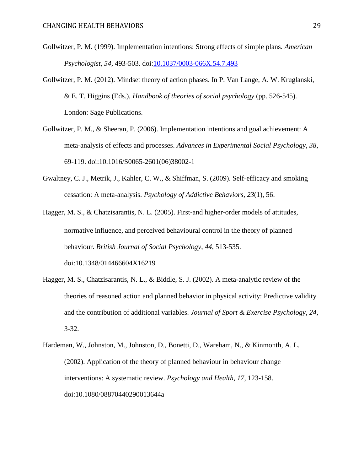- Gollwitzer, P. M. (1999). Implementation intentions: Strong effects of simple plans. *American Psychologist, 54*, 493-503. doi[:10.1037/0003-066X.54.7.493](http://psycnet.apa.org/doi/10.1037/0003-066X.54.7.493)
- Gollwitzer, P. M. (2012). Mindset theory of action phases. In P. Van Lange, A. W. Kruglanski, & E. T. Higgins (Eds.), *Handbook of theories of social psychology* (pp. 526-545). London: Sage Publications.
- Gollwitzer, P. M., & Sheeran, P. (2006). Implementation intentions and goal achievement: A meta-analysis of effects and processes. *Advances in Experimental Social Psychology, 38*, 69-119. doi:10.1016/S0065-2601(06)38002-1
- Gwaltney, C. J., Metrik, J., Kahler, C. W., & Shiffman, S. (2009). Self-efficacy and smoking cessation: A meta-analysis. *Psychology of Addictive Behaviors*, *23*(1), 56.
- Hagger, M. S., & Chatzisarantis, N. L. (2005). First-and higher-order models of attitudes, normative influence, and perceived behavioural control in the theory of planned behaviour. *British Journal of Social Psychology*, *44*, 513-535. doi:10.1348/014466604X16219
- Hagger, M. S., Chatzisarantis, N. L., & Biddle, S. J. (2002). A meta-analytic review of the theories of reasoned action and planned behavior in physical activity: Predictive validity and the contribution of additional variables. *Journal of Sport & Exercise Psychology*, *24*, 3-32.
- Hardeman, W., Johnston, M., Johnston, D., Bonetti, D., Wareham, N., & Kinmonth, A. L. (2002). Application of the theory of planned behaviour in behaviour change interventions: A systematic review. *Psychology and Health*, *17*, 123-158. doi:10.1080/08870440290013644a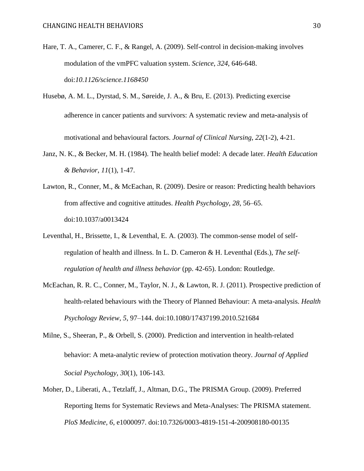- Hare, T. A., Camerer, C. F., & Rangel, A. (2009). Self-control in decision-making involves modulation of the vmPFC valuation system. *Science*, *324*, 646-648. doi:*10.1126/science.1168450*
- Husebø, A. M. L., Dyrstad, S. M., Søreide, J. A., & Bru, E. (2013). Predicting exercise adherence in cancer patients and survivors: A systematic review and meta‐analysis of motivational and behavioural factors. *Journal of Clinical Nursing*, *22*(1-2), 4-21.
- Janz, N. K., & Becker, M. H. (1984). The health belief model: A decade later. *Health Education & Behavior*, *11*(1), 1-47.
- Lawton, R., Conner, M., & McEachan, R. (2009). Desire or reason: Predicting health behaviors from affective and cognitive attitudes. *Health Psychology*, *28*, 56–65. doi:10.1037/a0013424
- Leventhal, H., Brissette, I., & Leventhal, E. A. (2003). The common-sense model of selfregulation of health and illness. In L. D. Cameron & H. Leventhal (Eds.), *The selfregulation of health and illness behavior* (pp. 42-65). London: Routledge.
- McEachan, R. R. C., Conner, M., Taylor, N. J., & Lawton, R. J. (2011). Prospective prediction of health-related behaviours with the Theory of Planned Behaviour: A meta-analysis. *Health Psychology Review*, *5*, 97–144. doi:10.1080/17437199.2010.521684
- Milne, S., Sheeran, P., & Orbell, S. (2000). Prediction and intervention in health-related behavior: A meta‐analytic review of protection motivation theory. *Journal of Applied Social Psychology*, *30*(1), 106-143.
- Moher, D., Liberati, A., Tetzlaff, J., Altman, D.G., The PRISMA Group. (2009). Preferred Reporting Items for Systematic Reviews and Meta-Analyses: The PRISMA statement. *PloS Medicine, 6*, e1000097. doi:10.7326/0003-4819-151-4-200908180-00135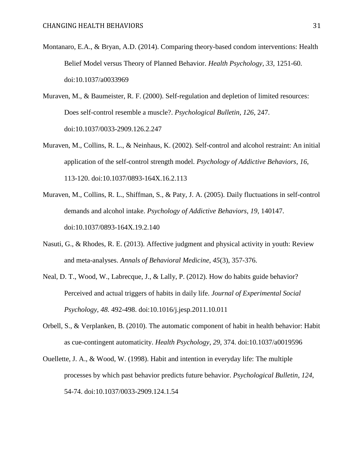- Montanaro, E.A., & Bryan, A.D. (2014). Comparing theory-based condom interventions: Health Belief Model versus Theory of Planned Behavior. *Health Psychology, 33,* 1251-60. doi:10.1037/a0033969
- Muraven, M., & Baumeister, R. F. (2000). Self-regulation and depletion of limited resources: Does self-control resemble a muscle?. *Psychological Bulletin*, *126*, 247. doi:10.1037/0033-2909.126.2.247
- Muraven, M., Collins, R. L., & Neinhaus, K. (2002). Self-control and alcohol restraint: An initial application of the self-control strength model. *Psychology of Addictive Behaviors*, *16*, 113-120. doi:10.1037/0893-164X.16.2.113
- Muraven, M., Collins, R. L., Shiffman, S., & Paty, J. A. (2005). Daily fluctuations in self-control demands and alcohol intake. *Psychology of Addictive Behaviors*, *19*, 140147. doi:10.1037/0893-164X.19.2.140
- Nasuti, G., & Rhodes, R. E. (2013). Affective judgment and physical activity in youth: Review and meta-analyses. *Annals of Behavioral Medicine*, *45*(3), 357-376.
- Neal, D. T., Wood, W., Labrecque, J., & Lally, P. (2012). How do habits guide behavior? Perceived and actual triggers of habits in daily life. *Journal of Experimental Social Psychology, 48.* 492-498. doi:10.1016/j.jesp.2011.10.011
- Orbell, S., & Verplanken, B. (2010). The automatic component of habit in health behavior: Habit as cue-contingent automaticity. *Health Psychology*, *29*, 374. doi:10.1037/a0019596
- Ouellette, J. A., & Wood, W. (1998). Habit and intention in everyday life: The multiple processes by which past behavior predicts future behavior. *Psychological Bulletin*, *124*, 54-74. doi:10.1037/0033-2909.124.1.54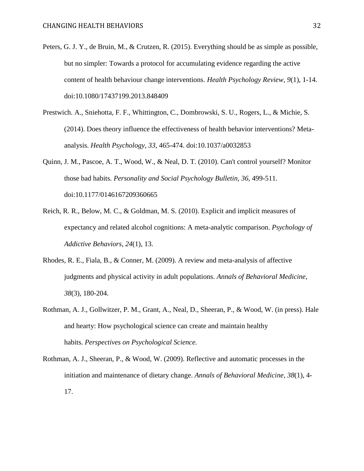- Peters, G. J. Y., de Bruin, M., & Crutzen, R. (2015). Everything should be as simple as possible, but no simpler: Towards a protocol for accumulating evidence regarding the active content of health behaviour change interventions. *Health Psychology Review, 9*(1), 1-14. doi:10.1080/17437199.2013.848409
- Prestwich. A., Sniehotta, F. F., Whittington, C., Dombrowski, S. U., Rogers, L., & Michie, S. (2014). Does theory influence the effectiveness of health behavior interventions? Metaanalysis. *Health Psychology, 33*, 465-474. doi:10.1037/a0032853
- Quinn, J. M., Pascoe, A. T., Wood, W., & Neal, D. T. (2010). Can't control yourself? Monitor those bad habits. *Personality and Social Psychology Bulletin, 36,* 499-511*.* doi:10.1177/0146167209360665
- Reich, R. R., Below, M. C., & Goldman, M. S. (2010). Explicit and implicit measures of expectancy and related alcohol cognitions: A meta-analytic comparison. *Psychology of Addictive Behaviors*, *24*(1), 13.
- Rhodes, R. E., Fiala, B., & Conner, M. (2009). A review and meta-analysis of affective judgments and physical activity in adult populations. *Annals of Behavioral Medicine*, *38*(3), 180-204.
- Rothman, A. J., Gollwitzer, P. M., Grant, A., Neal, D., Sheeran, P., & Wood, W. (in press). Hale and hearty: How psychological science can create and maintain healthy habits. *Perspectives on Psychological Science.*
- Rothman, A. J., Sheeran, P., & Wood, W. (2009). Reflective and automatic processes in the initiation and maintenance of dietary change. *Annals of Behavioral Medicine*, *38*(1), 4- 17.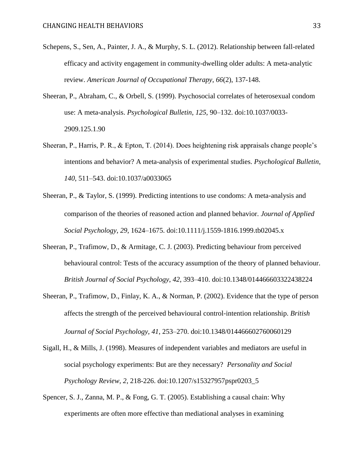- Schepens, S., Sen, A., Painter, J. A., & Murphy, S. L. (2012). Relationship between fall-related efficacy and activity engagement in community-dwelling older adults: A meta-analytic review. *American Journal of Occupational Therapy*, *66*(2), 137-148.
- Sheeran, P., Abraham, C., & Orbell, S. (1999). Psychosocial correlates of heterosexual condom use: A meta-analysis. *Psychological Bulletin*, *125*, 90–132. doi:10.1037/0033- 2909.125.1.90
- Sheeran, P., Harris, P. R., & Epton, T. (2014). Does heightening risk appraisals change people's intentions and behavior? A meta-analysis of experimental studies. *Psychological Bulletin*, *140*, 511–543. doi:10.1037/a0033065
- Sheeran, P., & Taylor, S. (1999). Predicting intentions to use condoms: A meta-analysis and comparison of the theories of reasoned action and planned behavior. *Journal of Applied Social Psychology*, *29*, 1624–1675. doi:10.1111/j.1559-1816.1999.tb02045.x
- Sheeran, P., Trafimow, D., & Armitage, C. J. (2003). Predicting behaviour from perceived behavioural control: Tests of the accuracy assumption of the theory of planned behaviour. *British Journal of Social Psychology*, *42*, 393–410. doi:10.1348/014466603322438224
- Sheeran, P., Trafimow, D., Finlay, K. A., & Norman, P. (2002). Evidence that the type of person affects the strength of the perceived behavioural control‐intention relationship. *British Journal of Social Psychology*, *41*, 253–270. doi:10.1348/014466602760060129
- Sigall, H., & Mills, J. (1998). Measures of independent variables and mediators are useful in social psychology experiments: But are they necessary? *Personality and Social Psychology Review, 2*, 218-226. doi:10.1207/s15327957pspr0203\_5
- Spencer, S. J., Zanna, M. P., & Fong, G. T. (2005). Establishing a causal chain: Why experiments are often more effective than mediational analyses in examining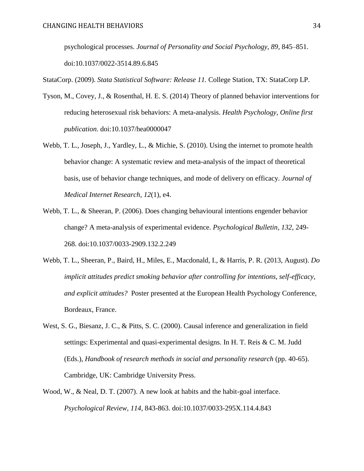psychological processes. *Journal of Personality and Social Psychology*, *89*, 845–851. doi:10.1037/0022-3514.89.6.845

StataCorp. (2009). *Stata Statistical Software: Release 11.* College Station, TX: StataCorp LP.

- Tyson, M., Covey, J., & Rosenthal, H. E. S. (2014) Theory of planned behavior interventions for reducing heterosexual risk behaviors: A meta-analysis. *Health Psychology, Online first publication*. doi:10.1037/hea0000047
- Webb, T. L., Joseph, J., Yardley, L., & Michie, S. (2010). Using the internet to promote health behavior change: A systematic review and meta-analysis of the impact of theoretical basis, use of behavior change techniques, and mode of delivery on efficacy. *Journal of Medical Internet Research*, *12*(1), e4.
- Webb, T. L., & Sheeran, P. (2006). Does changing behavioural intentions engender behavior change? A meta-analysis of experimental evidence. *Psychological Bulletin, 132*, 249- 268. doi:10.1037/0033-2909.132.2.249
- Webb, T. L., Sheeran, P., Baird, H., Miles, E., Macdonald, I., & Harris, P. R. (2013, August). *Do implicit attitudes predict smoking behavior after controlling for intentions, self-efficacy, and explicit attitudes?* Poster presented at the European Health Psychology Conference, Bordeaux, France.
- West, S. G., Biesanz, J. C., & Pitts, S. C. (2000). Causal inference and generalization in field settings: Experimental and quasi-experimental designs. In H. T. Reis & C. M. Judd (Eds.), *Handbook of research methods in social and personality research* (pp. 40-65). Cambridge, UK: Cambridge University Press.
- Wood, W., & Neal, D. T. (2007). A new look at habits and the habit-goal interface. *Psychological Review*, *114*, 843-863. doi:10.1037/0033-295X.114.4.843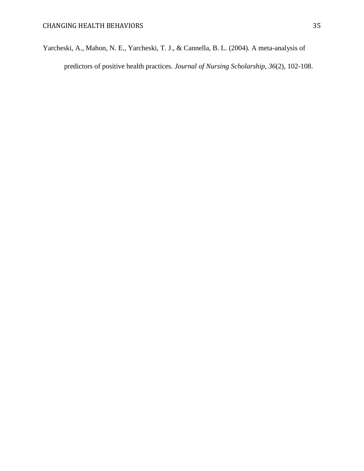Yarcheski, A., Mahon, N. E., Yarcheski, T. J., & Cannella, B. L. (2004). A meta‐analysis of predictors of positive health practices. *Journal of Nursing Scholarship*, *36*(2), 102-108.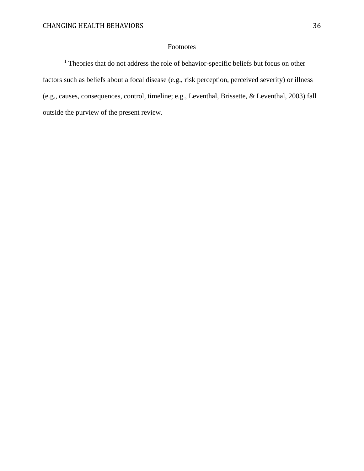### Footnotes

<sup>1</sup> Theories that do not address the role of behavior-specific beliefs but focus on other factors such as beliefs about a focal disease (e.g., risk perception, perceived severity) or illness (e.g., causes, consequences, control, timeline; e.g., Leventhal, Brissette, & Leventhal, 2003) fall outside the purview of the present review.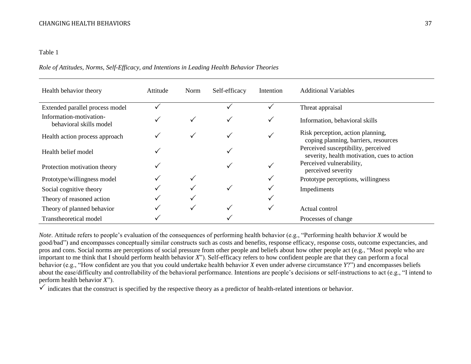### Table 1

### *Role of Attitudes, Norms, Self-Efficacy, and Intentions in Leading Health Behavior Theories*

| Health behavior theory                             | Attitude | Norm | Self-efficacy | Intention | <b>Additional Variables</b>                                                        |
|----------------------------------------------------|----------|------|---------------|-----------|------------------------------------------------------------------------------------|
| Extended parallel process model                    |          |      |               |           | Threat appraisal                                                                   |
| Information-motivation-<br>behavioral skills model |          |      |               |           | Information, behavioral skills                                                     |
| Health action process approach                     |          |      |               |           | Risk perception, action planning,<br>coping planning, barriers, resources          |
| Health belief model                                |          |      |               |           | Perceived susceptibility, perceived<br>severity, health motivation, cues to action |
| Protection motivation theory                       | ✓        |      |               |           | Perceived vulnerability,<br>perceived severity                                     |
| Prototype/willingness model                        |          |      |               |           | Prototype perceptions, willingness                                                 |
| Social cognitive theory                            |          |      |               |           | Impediments                                                                        |
| Theory of reasoned action                          |          |      |               |           |                                                                                    |
| Theory of planned behavior                         |          |      |               |           | Actual control                                                                     |
| Transtheoretical model                             |          |      |               |           | Processes of change                                                                |

*Note*. Attitude refers to people's evaluation of the consequences of performing health behavior (e.g., "Performing health behavior *X* would be good/bad") and encompasses conceptually similar constructs such as costs and benefits, response efficacy, response costs, outcome expectancies, and pros and cons. Social norms are perceptions of social pressure from other people and beliefs about how other people act (e.g., "Most people who are important to me think that I should perform health behavior *X*"). Self-efficacy refers to how confident people are that they can perform a focal behavior (e.g., "How confident are you that you could undertake health behavior *X* even under adverse circumstance *Y*?") and encompasses beliefs about the ease/difficulty and controllability of the behavioral performance. Intentions are people's decisions or self-instructions to act (e.g., "I intend to perform health behavior *X*").

 $\checkmark$  indicates that the construct is specified by the respective theory as a predictor of health-related intentions or behavior.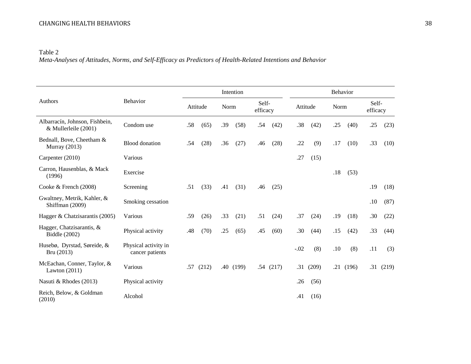Table 2 *Meta-Analyses of Attitudes, Norms, and Self-Efficacy as Predictors of Health-Related Intentions and Behavior* 

| Authors                                                | Behavior                                | Intention   |       |      |       |                   |          | Behavior |       |      |       |                   |          |
|--------------------------------------------------------|-----------------------------------------|-------------|-------|------|-------|-------------------|----------|----------|-------|------|-------|-------------------|----------|
|                                                        |                                         | Attitude    |       | Norm |       | Self-<br>efficacy |          | Attitude |       | Norm |       | Self-<br>efficacy |          |
| Albarracín, Johnson, Fishbein,<br>& Mullerleile (2001) | Condom use                              | .58<br>(65) |       | .39  | (58)  | .54               | (42)     | .38      | (42)  | .25  | (40)  | .25               | (23)     |
| Bednall, Bove, Cheetham &<br><b>Murray</b> (2013)      | <b>Blood</b> donation                   | (28)<br>.54 |       | .36  | (27)  | .46               | (28)     | .22      | (9)   | .17  | (10)  | .33               | (10)     |
| Carpenter (2010)                                       | Various                                 |             |       |      |       |                   |          |          | (15)  |      |       |                   |          |
| Carron, Hausenblas, & Mack<br>(1996)                   | Exercise                                |             |       |      |       |                   |          |          |       | .18  | (53)  |                   |          |
| Cooke $&$ French (2008)                                | Screening                               | .51         | (33)  | .41  | (31)  | .46               | (25)     |          |       |      |       | .19               | (18)     |
| Gwaltney, Metrik, Kahler, &<br>Shiffman (2009)         | Smoking cessation                       |             |       |      |       |                   |          |          |       |      |       | .10               | (87)     |
| Hagger & Chatzisarantis (2005)                         | Various                                 | .59         | (26)  | .33  | (21)  | .51               | (24)     | .37      | (24)  | .19  | (18)  | .30               | (22)     |
| Hagger, Chatzisarantis, &<br>Biddle (2002)             | Physical activity                       | .48         | (70)  | .25  | (65)  | .45               | (60)     | .30      | (44)  | .15  | (42)  | .33               | (44)     |
| Husebø, Dyrstad, Søreide, &<br>Bru (2013)              | Physical activity in<br>cancer patients |             |       |      |       |                   |          | $-.02$   | (8)   | .10  | (8)   | .11               | (3)      |
| McEachan, Conner, Taylor, &<br>Lawton $(2011)$         | Various                                 | .57         | (212) | .40  | (199) |                   | .54(217) | .31      | (209) | .21  | (196) |                   | .31(219) |
| Nasuti & Rhodes (2013)                                 | Physical activity                       |             |       |      |       |                   |          | .26      | (56)  |      |       |                   |          |
| Reich, Below, & Goldman<br>(2010)                      | Alcohol                                 |             |       |      |       |                   |          | .41      | (16)  |      |       |                   |          |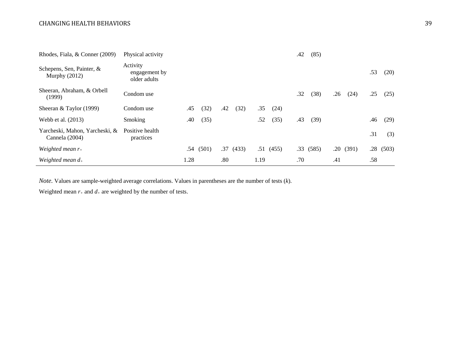| Rhodes, Fiala, & Conner (2009)                   | Physical activity                         |      |       |     |          |      |          | .42 | (85)     |     |          |     |          |
|--------------------------------------------------|-------------------------------------------|------|-------|-----|----------|------|----------|-----|----------|-----|----------|-----|----------|
| Schepens, Sen, Painter, &<br>Murphy $(2012)$     | Activity<br>engagement by<br>older adults |      |       |     |          |      |          |     |          |     |          | .53 | (20)     |
| Sheeran, Abraham, & Orbell<br>(1999)             | Condom use                                |      |       |     |          |      |          | .32 | (38)     | .26 | (24)     | .25 | (25)     |
| Sheeran & Taylor $(1999)$                        | Condom use                                | .45  | (32)  | .42 | (32)     | .35  | (24)     |     |          |     |          |     |          |
| Webb et al. (2013)                               | Smoking                                   | .40  | (35)  |     |          | .52  | (35)     | .43 | (39)     |     |          | .46 | (29)     |
| Yarcheski, Mahon, Yarcheski, &<br>Cannela (2004) | Positive health<br>practices              |      |       |     |          |      |          |     |          |     |          | .31 | (3)      |
| Weighted mean $r_{+}$                            |                                           | .54  | (501) |     | .37(433) |      | .51(455) |     | .33(585) |     | .20(391) |     | .28(503) |
| Weighted mean $d_{+}$                            |                                           | 1.28 |       | .80 |          | 1.19 |          | .70 |          | .41 |          | .58 |          |

*Note.* Values are sample-weighted average correlations. Values in parentheses are the number of tests (*k*).

Weighted mean  $r_+$  and  $d_+$  are weighted by the number of tests.